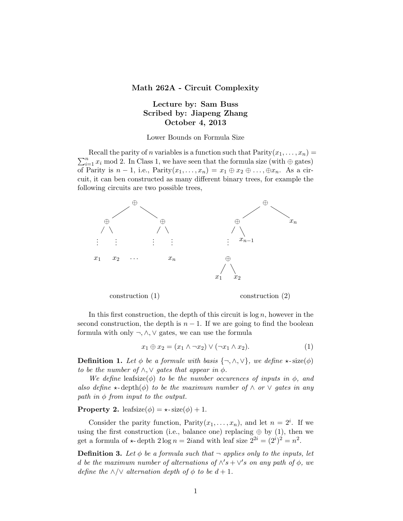## Math 262A - Circuit Complexity

## Lecture by: Sam Buss Scribed by: Jiapeng Zhang October 4, 2013

Lower Bounds on Formula Size

 $\sum_{i=1}^{n} x_i$  mod 2. In Class 1, we have seen that the formula size (with  $\oplus$  gates) Recall the parity of *n* variables is a function such that  $Parity(x_1, \ldots, x_n) =$ of Parity is  $n-1$ , i.e., Parity $(x_1, \ldots, x_n) = x_1 \oplus x_2 \oplus \ldots, \oplus x_n$ . As a circuit, it can ben constructed as many different binary trees, for example the following circuits are two possible trees,



In this first construction, the depth of this circuit is  $\log n$ , however in the second construction, the depth is  $n-1$ . If we are going to find the boolean formula with only ¬,∧,∨ gates, we can use the formula

$$
x_1 \oplus x_2 = (x_1 \wedge \neg x_2) \vee (\neg x_1 \wedge x_2). \tag{1}
$$

**Definition 1.** Let  $\phi$  be a formule with basis  $\{\neg, \wedge, \vee\}$ , we define  $\star$ -size( $\phi$ ) to be the number of  $\land$ ,  $\lor$  gates that appear in  $\phi$ .

We define leafsize( $\phi$ ) to be the number occurences of inputs in  $\phi$ , and also define  $\star$ -depth $(\phi)$  to be the maximum number of  $\wedge$  or  $\vee$  gates in any path in  $\phi$  from input to the output.

**Property 2.** leafsize( $\phi$ ) =  $\star$ -size( $\phi$ ) + 1.

Consider the parity function,  $Parity(x_1,...,x_n)$ , and let  $n = 2^i$ . If we using the first construction (i.e., balance one) replacing  $oplus$  by (1), then we get a formula of  $\star$ -depth  $2 \log n = 2i$  and with leaf size  $2^{2i} = (2^i)^2 = n^2$ .

**Definition 3.** Let  $\phi$  be a formula such that  $\neg$  applies only to the inputs, let d be the maximum number of alternations of  $\wedge$ 's +  $\vee$ 's on any path of  $\phi$ , we define the  $\land/\lor$  alternation depth of  $\phi$  to be  $d+1$ .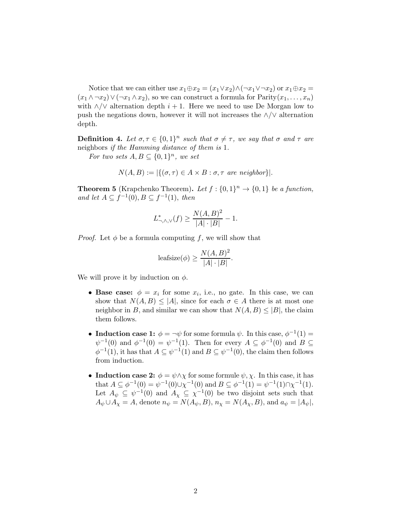Notice that we can either use  $x_1 \oplus x_2 = (x_1 \vee x_2) \wedge (\neg x_1 \vee \neg x_2)$  or  $x_1 \oplus x_2 =$  $(x_1 \wedge \neg x_2) \vee (\neg x_1 \wedge x_2)$ , so we can construct a formula for  $\text{Parity}(x_1, \ldots, x_n)$ with  $\land/\lor$  alternation depth  $i + 1$ . Here we need to use De Morgan low to push the negations down, however it will not increases the ∧/∨ alternation depth.

**Definition 4.** Let  $\sigma, \tau \in \{0, 1\}^n$  such that  $\sigma \neq \tau$ , we say that  $\sigma$  and  $\tau$  are neighbors if the Hamming distance of them is 1.

For two sets  $A, B \subseteq \{0,1\}^n$ , we set

$$
N(A, B) := |\{(\sigma, \tau) \in A \times B : \sigma, \tau \text{ are neighbor}\}|.
$$

**Theorem 5** (Krapchenko Theorem). Let  $f : \{0,1\}^n \to \{0,1\}$  be a function, and let  $A \subseteq f^{-1}(0), B \subseteq f^{-1}(1),$  then

$$
L_{\neg, \wedge, \vee}^*(f) \ge \frac{N(A, B)^2}{|A| \cdot |B|} - 1.
$$

*Proof.* Let  $\phi$  be a formula computing f, we will show that

$$
\text{leafsize}(\phi) \ge \frac{N(A,B)^2}{|A| \cdot |B|}.
$$

We will prove it by induction on  $\phi$ .

- Base case:  $\phi = x_i$  for some  $x_i$ , i.e., no gate. In this case, we can show that  $N(A, B) \leq |A|$ , since for each  $\sigma \in A$  there is at most one neighbor in B, and similar we can show that  $N(A, B) \leq |B|$ , the claim them follows.
- Induction case 1:  $\phi = \neg \psi$  for some formula  $\psi$ . In this case,  $\phi^{-1}(1) =$  $\psi^{-1}(0)$  and  $\phi^{-1}(0) = \psi^{-1}(1)$ . Then for every  $A \subseteq \phi^{-1}(0)$  and  $B \subseteq$  $\phi^{-1}(1)$ , it has that  $A \subseteq \psi^{-1}(1)$  and  $B \subseteq \psi^{-1}(0)$ , the claim then follows from induction.
- Induction case 2:  $\phi = \psi \wedge \chi$  for some formule  $\psi, \chi$ . In this case, it has that  $A \subseteq \phi^{-1}(0) = \psi^{-1}(0) \cup \chi^{-1}(0)$  and  $B \subseteq \phi^{-1}(1) = \psi^{-1}(1) \cap \chi^{-1}(1)$ . Let  $A_{\psi} \subseteq \psi^{-1}(0)$  and  $A_{\chi} \subseteq \chi^{-1}(0)$  be two disjoint sets such that  $A_{\psi} \cup A_{\chi} = A$ , denote  $n_{\psi} = N(A_{\psi}, B)$ ,  $n_{\chi} = N(A_{\chi}, B)$ , and  $a_{\psi} = |A_{\psi}|$ ,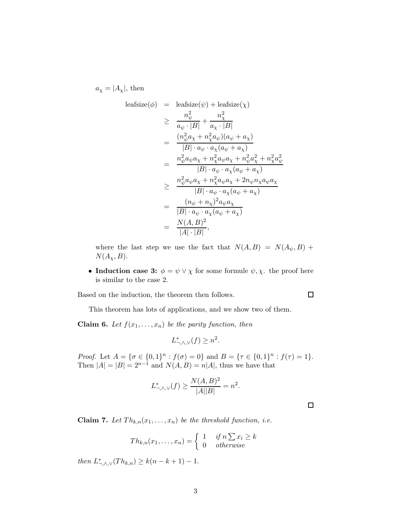$a_{\chi} = |A_{\chi}|$ , then

$$
\begin{array}{rcl}\n\text{leafsize}(\phi) & = & \text{leafsize}(\psi) + \text{leafsize}(\chi) \\
& \geq & \frac{n_{\psi}^2}{a_{\psi} \cdot |B|} + \frac{n_{\chi}^2}{a_{\chi} \cdot |B|} \\
& = & \frac{(n_{\psi}^2 a_{\chi} + n_{\chi}^2 a_{\psi})(a_{\psi} + a_{\chi})}{|B| \cdot a_{\psi} \cdot a_{\chi}(a_{\psi} + a_{\chi})} \\
& = & \frac{n_{\psi}^2 a_{\psi} a_{\chi} + n_{\chi}^2 a_{\psi} a_{\chi} + n_{\psi}^2 a_{\chi}^2 + n_{\chi}^2 a_{\psi}^2}{|B| \cdot a_{\psi} \cdot a_{\chi}(a_{\psi} + a_{\chi})} \\
& \geq & \frac{n_{\psi}^2 a_{\psi} a_{\chi} + n_{\chi}^2 a_{\psi} a_{\chi} + 2n_{\psi} n_{\chi} a_{\psi} a_{\chi}}{|B| \cdot a_{\psi} \cdot a_{\chi}(a_{\psi} + a_{\chi})} \\
& = & \frac{(n_{\psi} + n_{\chi})^2 a_{\psi} a_{\chi}}{|B| \cdot a_{\psi} \cdot a_{\chi}(a_{\psi} + a_{\chi})} \\
& = & \frac{N(A, B)^2}{|A| \cdot |B|},\n\end{array}
$$

where the last step we use the fact that  $N(A, B) = N(A_{\psi}, B)$  +  $N(A_\chi, B)$ .

• Induction case 3:  $\phi = \psi \vee \chi$  for some formule  $\psi, \chi$ . the proof here is similar to the case 2.

Based on the induction, the theorem then follows.

This theorem has lots of applications, and we show two of them.

**Claim 6.** Let  $f(x_1, \ldots, x_n)$  be the parity function, then

$$
L_{\neg, \wedge, \vee}^*(f) \ge n^2.
$$

Proof. Let  $A = \{\sigma \in \{0,1\}^n : f(\sigma) = 0\}$  and  $B = \{\tau \in \{0,1\}^n : f(\tau) = 1\}.$ Then  $|A| = |B| = 2^{n-1}$  and  $N(A, B) = n|A|$ , thus we have that

$$
L_{\neg, \wedge, \vee}^*(f) \geq \frac{N(A,B)^2}{|A||B|} = n^2.
$$

 $\Box$ 

 $\Box$ 

**Claim 7.** Let  $Th_{k,n}(x_1,\ldots,x_n)$  be the threshold function, i.e.

$$
Th_{k,n}(x_1,\ldots,x_n) = \begin{cases} 1 & \text{if } n \sum x_i \ge k \\ 0 & \text{otherwise} \end{cases}
$$

then  $L^*_{\neg, \wedge, \vee}(Th_{k,n}) \geq k(n-k+1) - 1$ .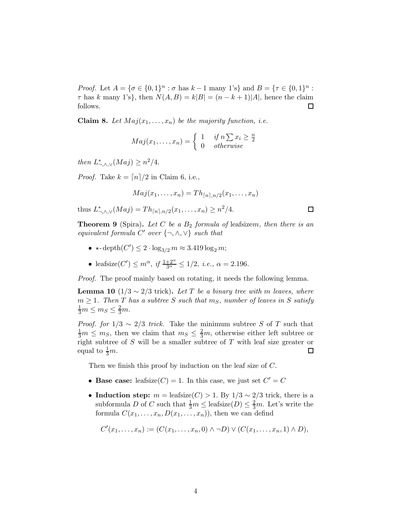*Proof.* Let  $A = \{ \sigma \in \{0,1\}^n : \sigma \text{ has } k-1 \text{ many } 1 \text{'s} \}$  and  $B = \{ \tau \in \{0,1\}^n : \sigma \text{ has } k-1 \text{ many } 1 \text{'s} \}$  $\tau$  has k many 1's}, then  $N(A, B) = k|B| = (n - k + 1)|A|$ , hence the claim follows.  $\Box$ 

**Claim 8.** Let  $Maj(x_1, \ldots, x_n)$  be the majority function, i.e.

$$
Maj(x_1, \ldots, x_n) = \begin{cases} 1 & \text{if } n \sum x_i \ge \frac{n}{2} \\ 0 & \text{otherwise} \end{cases}
$$

then  $L^*_{\neg, \wedge, \vee}(Maj) \geq n^2/4$ .

*Proof.* Take  $k = \lfloor n \rfloor / 2$  in Claim 6, i.e.,

$$
Maj(x_1,\ldots,x_n)=Th_{\lceil n\rceil,n/2}(x_1,\ldots,x_n)
$$

 $\Box$ 

thus  $L^*_{\neg, \wedge, \vee}(Maj) = Th_{\lceil n \rceil, n/2}(x_1, \dots, x_n) \geq n^2/4.$ 

**Theorem 9** (Spira). Let C be a  $B_2$  formula of leafsizem, then there is an equivalent formula  $C'$  over  $\{\neg, \wedge, \vee\}$  such that

- $\star$ -depth $(C') \leq 2 \cdot \log_{3/2} m \approx 3.419 \log_2 m;$
- leafsize(C')  $\leq m^{\alpha}$ , if  $\frac{1+2^{\alpha}}{3^{\alpha}} \leq 1/2$ , i.e.,  $\alpha = 2.196$ .

Proof. The proof mainly based on rotating, it needs the following lemma.

**Lemma 10** (1/3  $\sim$  2/3 trick). Let T be a binary tree with m leaves, where  $m \geq 1$ . Then T has a subtree S such that  $m<sub>S</sub>$ , number of leaves in S satisfy  $\frac{1}{3}m \leq m_S \leq \frac{2}{3}m.$ 

*Proof.* for  $1/3 \sim 2/3$  trick. Take the minimum subtree S of T such that  $\frac{1}{3}m \leq m_S$ , then we claim that  $m_S \leq \frac{2}{3}m$ , otherwise either left subtree or right subtree of  $S$  will be a smaller subtree of  $T$  with leaf size greater or equal to  $\frac{1}{3}m$ .  $\Box$ 

Then we finish this proof by induction on the leaf size of C.

- Base case: leafsize( $C$ ) = 1. In this case, we just set  $C' = C$
- Induction step:  $m = \text{leafsize}(C) > 1$ . By  $1/3 \sim 2/3$  trick, there is a subformula D of C such that  $\frac{1}{3}m \leq$  leafsize $(D) \leq \frac{2}{3}m$ . Let's write the formula  $C(x_1, \ldots, x_n, D(x_1, \ldots, x_n))$ , then we can defind

$$
C'(x_1,...,x_n) := (C(x_1,...,x_n,0) \land \neg D) \lor (C(x_1,...,x_n,1) \land D),
$$